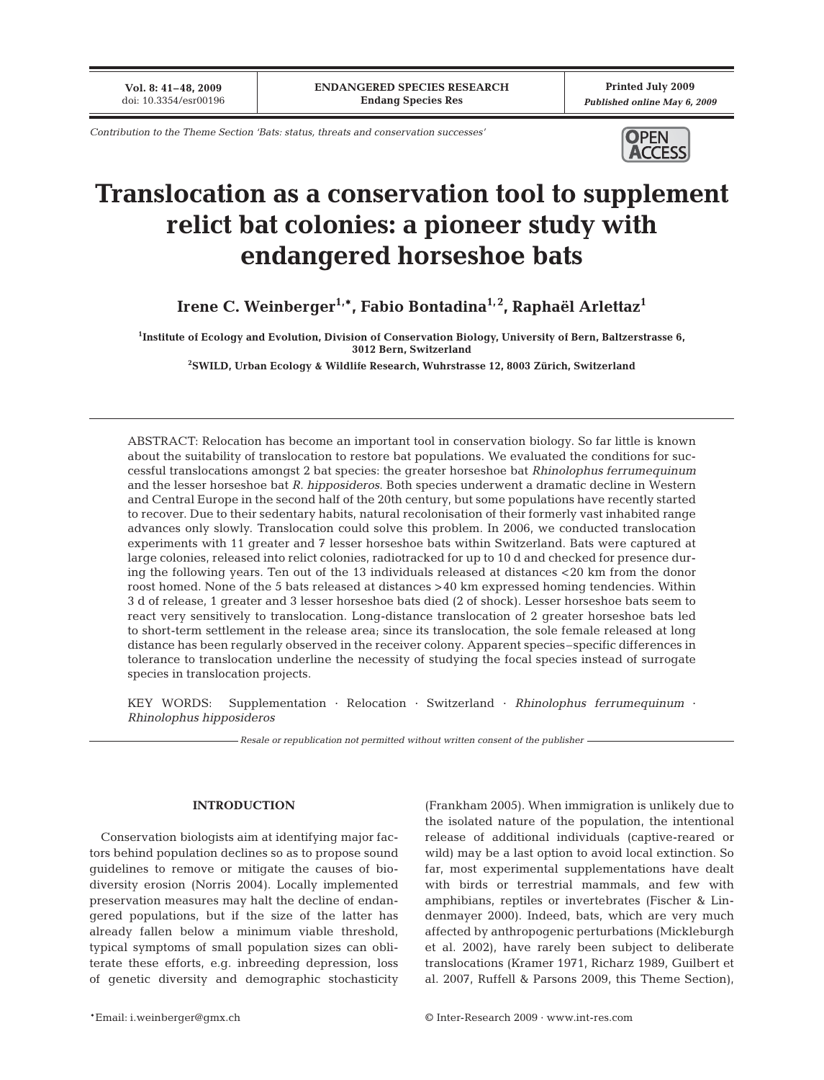**Vol. 8: 41–48, 2009** doi: 10.3354/esr00196

**Printed July 2009** *Published online May 6, 2009*

*Contribution to the Theme Section 'Bats: status, threats and conservation successes'*



# **Translocation as a conservation tool to supplement relict bat colonies: a pioneer study with endangered horseshoe bats**

**Irene C. Weinberger1,\*, Fabio Bontadina1, 2, Raphaël Arlettaz1**

**1 Institute of Ecology and Evolution, Division of Conservation Biology, University of Bern, Baltzerstrasse 6, 3012 Bern, Switzerland**

**2 SWILD, Urban Ecology & Wildlife Research, Wuhrstrasse 12, 8003 Zürich, Switzerland**

ABSTRACT: Relocation has become an important tool in conservation biology. So far little is known about the suitability of translocation to restore bat populations. We evaluated the conditions for successful translocations amongst 2 bat species: the greater horseshoe bat *Rhinolophus ferrumequinum* and the lesser horseshoe bat *R. hipposideros*. Both species underwent a dramatic decline in Western and Central Europe in the second half of the 20th century, but some populations have recently started to recover. Due to their sedentary habits, natural recolonisation of their formerly vast inhabited range advances only slowly. Translocation could solve this problem. In 2006, we conducted translocation experiments with 11 greater and 7 lesser horseshoe bats within Switzerland. Bats were captured at large colonies, released into relict colonies, radiotracked for up to 10 d and checked for presence during the following years. Ten out of the 13 individuals released at distances <20 km from the donor roost homed. None of the 5 bats released at distances >40 km expressed homing tendencies. Within 3 d of release, 1 greater and 3 lesser horseshoe bats died (2 of shock). Lesser horseshoe bats seem to react very sensitively to translocation. Long-distance translocation of 2 greater horseshoe bats led to short-term settlement in the release area; since its translocation, the sole female released at long distance has been regularly observed in the receiver colony. Apparent species–specific differences in tolerance to translocation underline the necessity of studying the focal species instead of surrogate species in translocation projects.

KEY WORDS: Supplementation · Relocation · Switzerland · *Rhinolophus ferrumequinum* · *Rhinolophus hipposideros*

*Resale or republication not permitted without written consent of the publisher*

## **INTRODUCTION**

Conservation biologists aim at identifying major factors behind population declines so as to propose sound guidelines to remove or mitigate the causes of biodiversity erosion (Norris 2004). Locally implemented preservation measures may halt the decline of endangered populations, but if the size of the latter has already fallen below a minimum viable threshold, typical symptoms of small population sizes can obliterate these efforts, e.g. inbreeding depression, loss of genetic diversity and demographic stochasticity (Frankham 2005). When immigration is unlikely due to the isolated nature of the population, the intentional release of additional individuals (captive-reared or wild) may be a last option to avoid local extinction. So far, most experimental supplementations have dealt with birds or terrestrial mammals, and few with amphibians, reptiles or invertebrates (Fischer & Lindenmayer 2000). Indeed, bats, which are very much affected by anthropogenic perturbations (Mickleburgh et al. 2002), have rarely been subject to deliberate translocations (Kramer 1971, Richarz 1989, Guilbert et al. 2007, Ruffell & Parsons 2009, this Theme Section),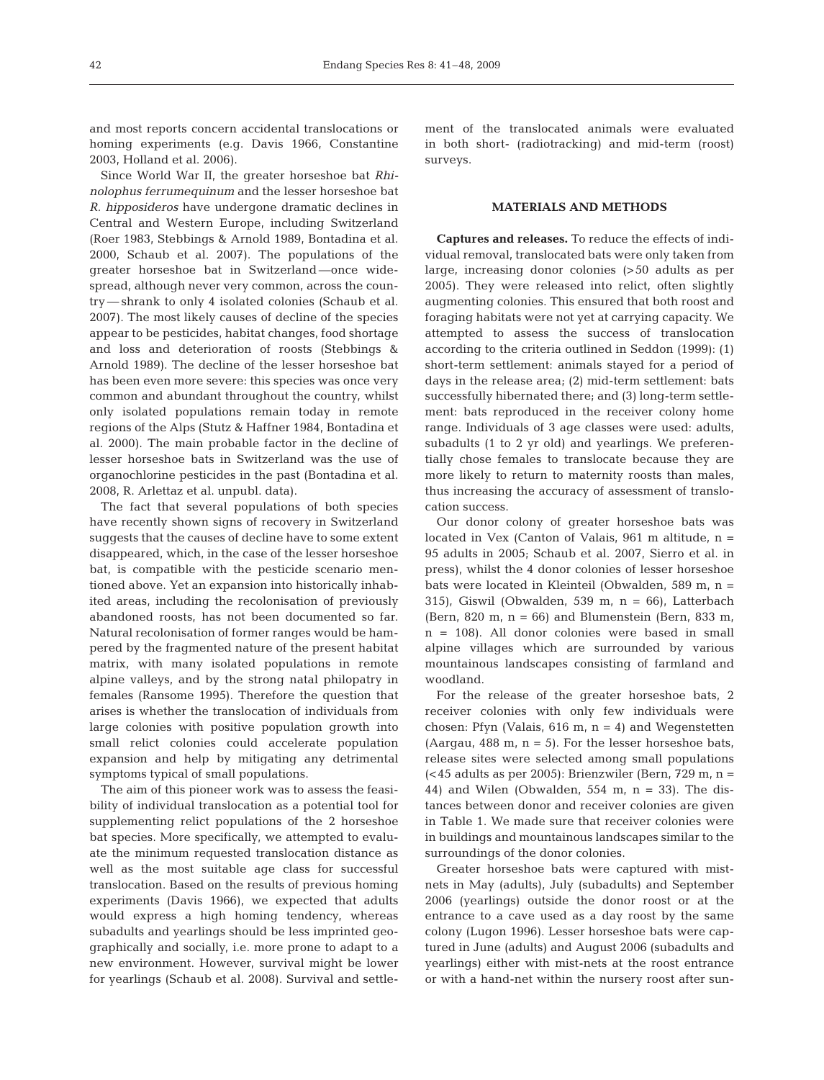and most reports concern accidental translocations or homing experiments (e.g. Davis 1966, Constantine 2003, Holland et al. 2006).

Since World War II, the greater horseshoe bat *Rhinolophus ferrumequinum* and the lesser horseshoe bat *R. hipposideros* have undergone dramatic declines in Central and Western Europe, including Switzerland (Roer 1983, Stebbings & Arnold 1989, Bontadina et al. 2000, Schaub et al. 2007). The populations of the greater horseshoe bat in Switzerland —once widespread, although never very common, across the country — shrank to only 4 isolated colonies (Schaub et al. 2007). The most likely causes of decline of the species appear to be pesticides, habitat changes, food shortage and loss and deterioration of roosts (Stebbings & Arnold 1989). The decline of the lesser horseshoe bat has been even more severe: this species was once very common and abundant throughout the country, whilst only isolated populations remain today in remote regions of the Alps (Stutz & Haffner 1984, Bontadina et al. 2000). The main probable factor in the decline of lesser horseshoe bats in Switzerland was the use of organochlorine pesticides in the past (Bontadina et al. 2008, R. Arlettaz et al. unpubl. data).

The fact that several populations of both species have recently shown signs of recovery in Switzerland suggests that the causes of decline have to some extent disappeared, which, in the case of the lesser horseshoe bat, is compatible with the pesticide scenario mentioned above. Yet an expansion into historically inhabited areas, including the recolonisation of previously abandoned roosts, has not been documented so far. Natural recolonisation of former ranges would be hampered by the fragmented nature of the present habitat matrix, with many isolated populations in remote alpine valleys, and by the strong natal philopatry in females (Ransome 1995). Therefore the question that arises is whether the translocation of individuals from large colonies with positive population growth into small relict colonies could accelerate population expansion and help by mitigating any detrimental symptoms typical of small populations.

The aim of this pioneer work was to assess the feasibility of individual translocation as a potential tool for supplementing relict populations of the 2 horseshoe bat species. More specifically, we attempted to evaluate the minimum requested translocation distance as well as the most suitable age class for successful translocation. Based on the results of previous homing experiments (Davis 1966), we expected that adults would express a high homing tendency, whereas subadults and yearlings should be less imprinted geographically and socially, i.e. more prone to adapt to a new environment. However, survival might be lower for yearlings (Schaub et al. 2008). Survival and settlement of the translocated animals were evaluated in both short- (radiotracking) and mid-term (roost) surveys.

#### **MATERIALS AND METHODS**

**Captures and releases.** To reduce the effects of individual removal, translocated bats were only taken from large, increasing donor colonies (>50 adults as per 2005). They were released into relict, often slightly augmenting colonies. This ensured that both roost and foraging habitats were not yet at carrying capacity. We attempted to assess the success of translocation according to the criteria outlined in Seddon (1999): (1) short-term settlement: animals stayed for a period of days in the release area; (2) mid-term settlement: bats successfully hibernated there; and (3) long-term settlement: bats reproduced in the receiver colony home range. Individuals of 3 age classes were used: adults, subadults (1 to 2 yr old) and yearlings. We preferentially chose females to translocate because they are more likely to return to maternity roosts than males, thus increasing the accuracy of assessment of translocation success.

Our donor colony of greater horseshoe bats was located in Vex (Canton of Valais,  $961$  m altitude, n = 95 adults in 2005; Schaub et al. 2007, Sierro et al. in press), whilst the 4 donor colonies of lesser horseshoe bats were located in Kleinteil (Obwalden, 589 m, n = 315), Giswil (Obwalden, 539 m, n = 66), Latterbach (Bern, 820 m,  $n = 66$ ) and Blumenstein (Bern, 833 m, n = 108). All donor colonies were based in small alpine villages which are surrounded by various mountainous landscapes consisting of farmland and woodland.

For the release of the greater horseshoe bats, 2 receiver colonies with only few individuals were chosen: Pfyn (Valais, 616 m,  $n = 4$ ) and Wegenstetten (Aargau, 488 m,  $n = 5$ ). For the lesser horseshoe bats, release sites were selected among small populations  $\approx$  45 adults as per 2005): Brienzwiler (Bern, 729 m, n = 44) and Wilen (Obwalden, 554 m,  $n = 33$ ). The distances between donor and receiver colonies are given in Table 1. We made sure that receiver colonies were in buildings and mountainous landscapes similar to the surroundings of the donor colonies.

Greater horseshoe bats were captured with mistnets in May (adults), July (subadults) and September 2006 (yearlings) outside the donor roost or at the entrance to a cave used as a day roost by the same colony (Lugon 1996). Lesser horseshoe bats were captured in June (adults) and August 2006 (subadults and yearlings) either with mist-nets at the roost entrance or with a hand-net within the nursery roost after sun-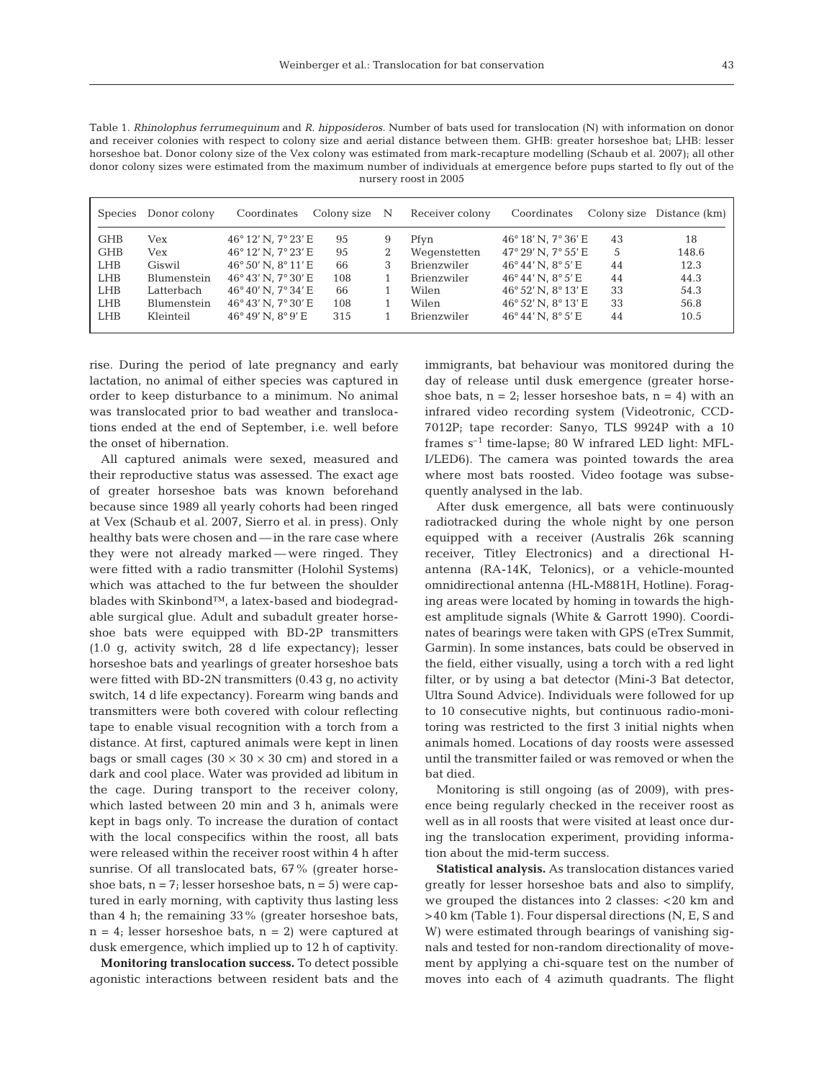Table 1. *Rhinolophus ferrumequinum* and *R. hipposideros*. Number of bats used for translocation (N) with information on donor and receiver colonies with respect to colony size and aerial distance between them. GHB: greater horseshoe bat; LHB: lesser horseshoe bat. Donor colony size of the Vex colony was estimated from mark-recapture modelling (Schaub et al. 2007); all other donor colony sizes were estimated from the maximum number of individuals at emergence before pups started to fly out of the nursery roost in 2005

| Species    | Donor colony | Coordinates                           | Colony size N |   | Receiver colony | Coordinates                           |    | Colony size Distance (km) |
|------------|--------------|---------------------------------------|---------------|---|-----------------|---------------------------------------|----|---------------------------|
| <b>GHB</b> | Vex          | $46^{\circ}$ 12' N, $7^{\circ}$ 23' E | 95            | 9 | Pfyn            | 46° 18' N, 7° 36' E                   | 43 | 18                        |
| <b>GHB</b> | Vex          | 46°12′N, 7°23′E                       | 95            |   | Wegenstetten    | $47^{\circ}$ 29' N, $7^{\circ}$ 55' E | .5 | 148.6                     |
| <b>LHB</b> | Giswil       | $46^{\circ}50'$ N, $8^{\circ}11'E$    | 66            | 3 | Brienzwiler     | $46^{\circ}44'$ N, $8^{\circ}5'E$     | 44 | 12.3                      |
| LHB        | Blumenstein  | $46^{\circ}43'$ N, $7^{\circ}30'$ E   | 108           |   | Brienzwiler     | $46^{\circ}44'$ N, $8^{\circ}5'E$     | 44 | 44.3                      |
| LHB        | Latterbach   | $46^{\circ}40'$ N, $7^{\circ}34'$ E   | 66            |   | Wilen           | 46° 52' N, 8° 13' E                   | 33 | 54.3                      |
| LHB        | Blumenstein  | $46^{\circ}43'$ N, $7^{\circ}30'$ E   | 108           |   | Wilen           | $46^{\circ}$ 52' N, $8^{\circ}$ 13' E | 33 | 56.8                      |
| <b>LHB</b> | Kleinteil    | $46^{\circ}49'$ N, $8^{\circ}9'E$     | 315           |   | Brienzwiler     | $46^{\circ}44'$ N. $8^{\circ}5'E$     | 44 | 10.5                      |

rise. During the period of late pregnancy and early lactation, no animal of either species was captured in order to keep disturbance to a minimum. No animal was translocated prior to bad weather and translocations ended at the end of September, i.e. well before the onset of hibernation.

All captured animals were sexed, measured and their reproductive status was assessed. The exact age of greater horseshoe bats was known beforehand because since 1989 all yearly cohorts had been ringed at Vex (Schaub et al. 2007, Sierro et al. in press). Only healthy bats were chosen and — in the rare case where they were not already marked — were ringed. They were fitted with a radio transmitter (Holohil Systems) which was attached to the fur between the shoulder blades with Skinbond™, a latex-based and biodegradable surgical glue. Adult and subadult greater horseshoe bats were equipped with BD-2P transmitters (1.0 g, activity switch, 28 d life expectancy); lesser horseshoe bats and yearlings of greater horseshoe bats were fitted with BD-2N transmitters (0.43 g, no activity switch, 14 d life expectancy). Forearm wing bands and transmitters were both covered with colour reflecting tape to enable visual recognition with a torch from a distance. At first, captured animals were kept in linen bags or small cages  $(30 \times 30 \times 30 \text{ cm})$  and stored in a dark and cool place. Water was provided ad libitum in the cage. During transport to the receiver colony, which lasted between 20 min and 3 h, animals were kept in bags only. To increase the duration of contact with the local conspecifics within the roost, all bats were released within the receiver roost within 4 h after sunrise. Of all translocated bats, 67% (greater horseshoe bats,  $n = 7$ ; lesser horseshoe bats,  $n = 5$ ) were captured in early morning, with captivity thus lasting less than 4 h; the remaining 33% (greater horseshoe bats,  $n = 4$ ; lesser horseshoe bats,  $n = 2$ ) were captured at dusk emergence, which implied up to 12 h of captivity.

**Monitoring translocation success.** To detect possible agonistic interactions between resident bats and the immigrants, bat behaviour was monitored during the day of release until dusk emergence (greater horseshoe bats,  $n = 2$ ; lesser horseshoe bats,  $n = 4$ ) with an infrared video recording system (Videotronic, CCD-7012P; tape recorder: Sanyo, TLS 9924P with a 10 frames  $s^{-1}$  time-lapse; 80 W infrared LED light: MFL-I/LED6). The camera was pointed towards the area where most bats roosted. Video footage was subsequently analysed in the lab.

After dusk emergence, all bats were continuously radiotracked during the whole night by one person equipped with a receiver (Australis 26k scanning receiver, Titley Electronics) and a directional Hantenna (RA-14K, Telonics), or a vehicle-mounted omnidirectional antenna (HL-M881H, Hotline). Foraging areas were located by homing in towards the highest amplitude signals (White & Garrott 1990). Coordinates of bearings were taken with GPS (eTrex Summit, Garmin). In some instances, bats could be observed in the field, either visually, using a torch with a red light filter, or by using a bat detector (Mini-3 Bat detector, Ultra Sound Advice). Individuals were followed for up to 10 consecutive nights, but continuous radio-monitoring was restricted to the first 3 initial nights when animals homed. Locations of day roosts were assessed until the transmitter failed or was removed or when the bat died.

Monitoring is still ongoing (as of 2009), with presence being regularly checked in the receiver roost as well as in all roosts that were visited at least once during the translocation experiment, providing information about the mid-term success.

**Statistical analysis.** As translocation distances varied greatly for lesser horseshoe bats and also to simplify, we grouped the distances into 2 classes: <20 km and >40 km (Table 1). Four dispersal directions (N, E, S and W) were estimated through bearings of vanishing signals and tested for non-random directionality of movement by applying a chi-square test on the number of moves into each of 4 azimuth quadrants. The flight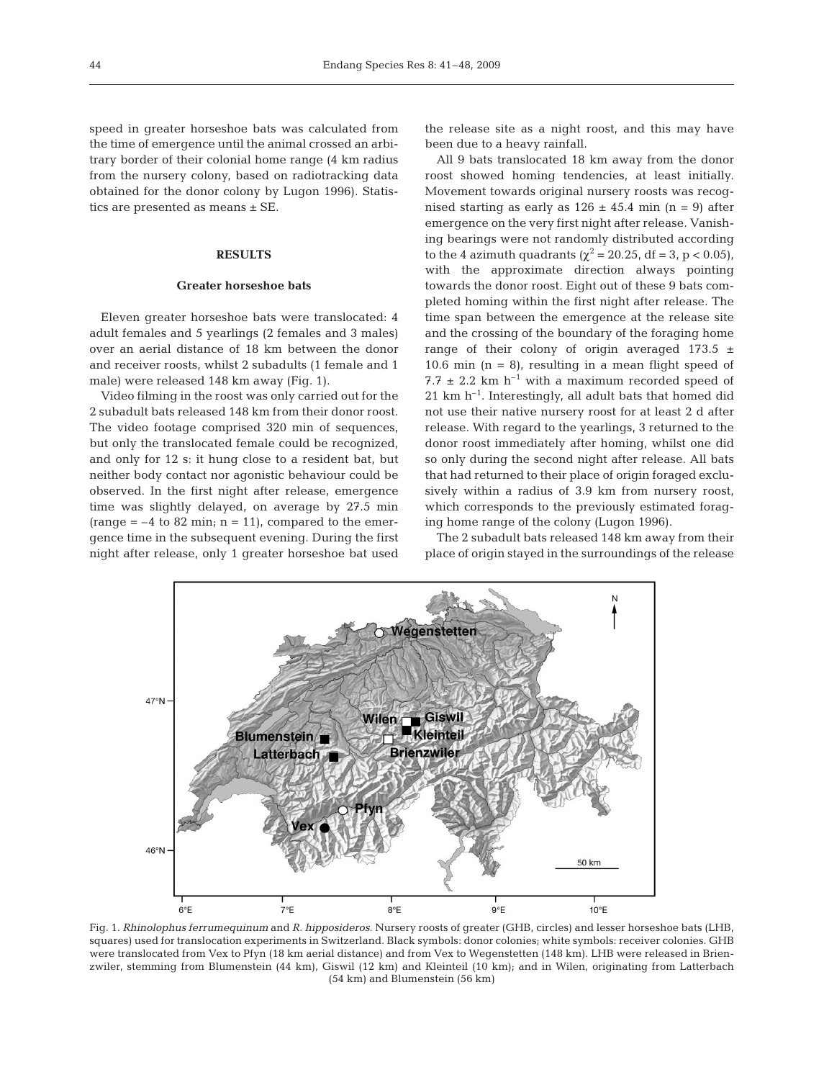speed in greater horseshoe bats was calculated from the time of emergence until the animal crossed an arbitrary border of their colonial home range (4 km radius from the nursery colony, based on radiotracking data obtained for the donor colony by Lugon 1996). Statistics are presented as means ± SE.

#### **RESULTS**

#### **Greater horseshoe bats**

Eleven greater horseshoe bats were translocated: 4 adult females and 5 yearlings (2 females and 3 males) over an aerial distance of 18 km between the donor and receiver roosts, whilst 2 subadults (1 female and 1 male) were released 148 km away (Fig. 1).

Video filming in the roost was only carried out for the 2 subadult bats released 148 km from their donor roost. The video footage comprised 320 min of sequences, but only the translocated female could be recognized, and only for 12 s: it hung close to a resident bat, but neither body contact nor agonistic behaviour could be observed. In the first night after release, emergence time was slightly delayed, on average by 27.5 min (range  $=-4$  to 82 min; n = 11), compared to the emergence time in the subsequent evening. During the first night after release, only 1 greater horseshoe bat used the release site as a night roost, and this may have been due to a heavy rainfall.

All 9 bats translocated 18 km away from the donor roost showed homing tendencies, at least initially. Movement towards original nursery roosts was recognised starting as early as  $126 \pm 45.4$  min (n = 9) after emergence on the very first night after release. Vanishing bearings were not randomly distributed according to the 4 azimuth quadrants ( $\chi^2$  = 20.25, df = 3, p < 0.05), with the approximate direction always pointing towards the donor roost. Eight out of these 9 bats completed homing within the first night after release. The time span between the emergence at the release site and the crossing of the boundary of the foraging home range of their colony of origin averaged  $173.5 \pm$ 10.6 min  $(n = 8)$ , resulting in a mean flight speed of 7.7  $\pm$  2.2 km h<sup>-1</sup> with a maximum recorded speed of  $21 \text{ km h}^{-1}$ . Interestingly, all adult bats that homed did not use their native nursery roost for at least 2 d after release. With regard to the yearlings, 3 returned to the donor roost immediately after homing, whilst one did so only during the second night after release. All bats that had returned to their place of origin foraged exclusively within a radius of 3.9 km from nursery roost, which corresponds to the previously estimated foraging home range of the colony (Lugon 1996).

The 2 subadult bats released 148 km away from their place of origin stayed in the surroundings of the release

**Negenstetten**  $47°N$ Wilen Giswil **Kleinteil Blumenstein Brienzwiler** Latterbach  $46°N$ 50 km  $8^{\circ}E$  $6^{\circ}E$  $7^{\circ}E$ 9°E  $10^{\circ}E$ 

Fig. 1. *Rhinolophus ferrumequinum* and *R. hipposideros*. Nursery roosts of greater (GHB, circles) and lesser horseshoe bats (LHB, squares) used for translocation experiments in Switzerland. Black symbols: donor colonies; white symbols: receiver colonies. GHB were translocated from Vex to Pfyn (18 km aerial distance) and from Vex to Wegenstetten (148 km). LHB were released in Brienzwiler, stemming from Blumenstein (44 km), Giswil (12 km) and Kleinteil (10 km); and in Wilen, originating from Latterbach (54 km) and Blumenstein (56 km)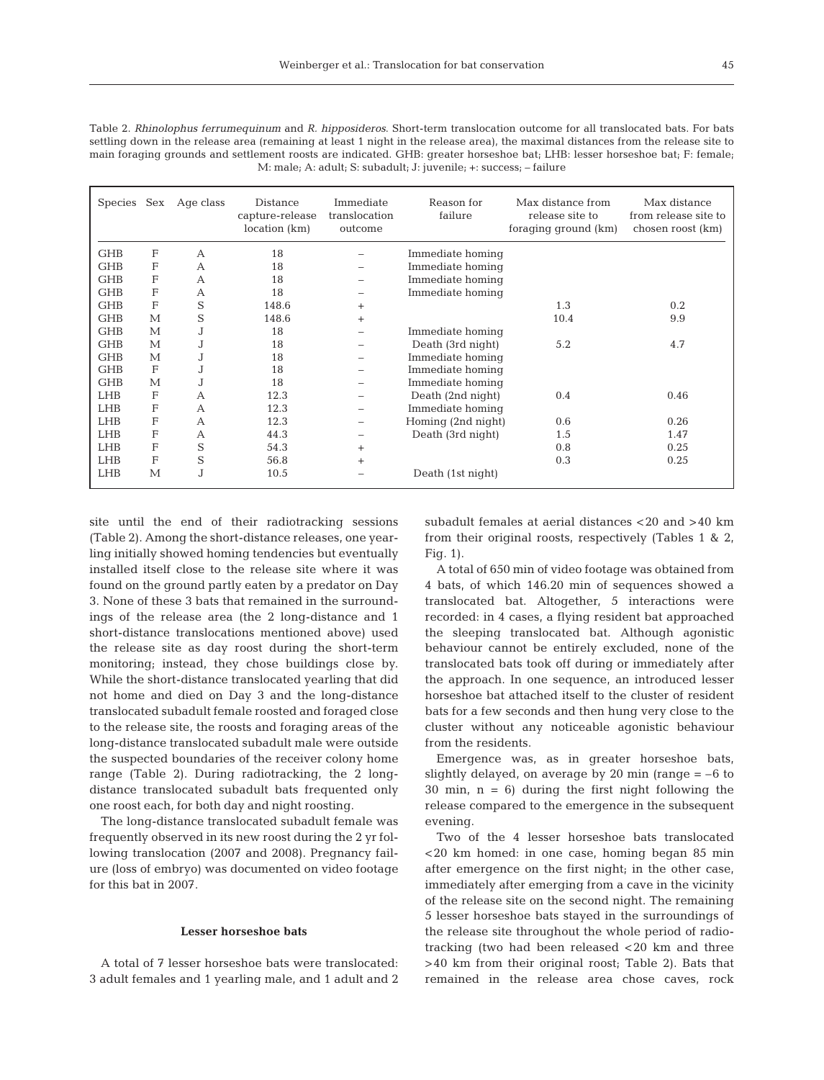| Table 2. Rhinolophus ferrumequinum and R. hipposideros. Short-term translocation outcome for all translocated bats. For bats       |
|------------------------------------------------------------------------------------------------------------------------------------|
| settling down in the release area (remaining at least 1 night in the release area), the maximal distances from the release site to |
| main foraging grounds and settlement roosts are indicated. GHB: greater horseshoe bat; LHB: lesser horseshoe bat; F: female;       |
| M: male; A: adult; S: subadult; J: juvenile; +: success; - failure                                                                 |

| Species    |                           | Sex Age class | Distance<br>capture-release<br>location (km) | Immediate<br>translocation<br>outcome | Reason for<br>failure | Max distance from<br>release site to<br>foraging ground (km) | Max distance<br>from release site to<br>chosen roost (km) |
|------------|---------------------------|---------------|----------------------------------------------|---------------------------------------|-----------------------|--------------------------------------------------------------|-----------------------------------------------------------|
| <b>GHB</b> | $\boldsymbol{\mathrm{F}}$ | A             | 18                                           |                                       | Immediate homing      |                                                              |                                                           |
| <b>GHB</b> | F                         | $\mathbf{A}$  | 18                                           |                                       | Immediate homing      |                                                              |                                                           |
| <b>GHB</b> | F                         | A             | 18                                           |                                       | Immediate homing      |                                                              |                                                           |
| <b>GHB</b> | F                         | А             | 18                                           |                                       | Immediate homing      |                                                              |                                                           |
| <b>GHB</b> | F                         | S             | 148.6                                        | $^{+}$                                |                       | 1.3                                                          | 0.2                                                       |
| <b>GHB</b> | M                         | S             | 148.6                                        | $^{+}$                                |                       | 10.4                                                         | 9.9                                                       |
| <b>GHB</b> | M                         | J             | 18                                           |                                       | Immediate homing      |                                                              |                                                           |
| <b>GHB</b> | $\mathbf{M}$              | J             | 18                                           |                                       | Death (3rd night)     | 5.2                                                          | 4.7                                                       |
| <b>GHB</b> | M                         | J             | 18                                           |                                       | Immediate homing      |                                                              |                                                           |
| <b>GHB</b> | F                         | J             | 18                                           |                                       | Immediate homing      |                                                              |                                                           |
| <b>GHB</b> | М                         | J             | 18                                           |                                       | Immediate homing      |                                                              |                                                           |
| <b>LHB</b> | F                         | А             | 12.3                                         |                                       | Death (2nd night)     | 0.4                                                          | 0.46                                                      |
| <b>LHB</b> | F                         | $\mathsf{A}$  | 12.3                                         |                                       | Immediate homing      |                                                              |                                                           |
| <b>LHB</b> | F                         | A             | 12.3                                         |                                       | Homing (2nd night)    | 0.6                                                          | 0.26                                                      |
| <b>LHB</b> | F                         | A             | 44.3                                         |                                       | Death (3rd night)     | 1.5                                                          | 1.47                                                      |
| <b>LHB</b> | F                         | S             | 54.3                                         | $+$                                   |                       | 0.8                                                          | 0.25                                                      |
| <b>LHB</b> | F                         | S             | 56.8                                         | $^{+}$                                |                       | 0.3                                                          | 0.25                                                      |
| <b>LHB</b> | M                         | J             | 10.5                                         |                                       | Death (1st night)     |                                                              |                                                           |

site until the end of their radiotracking sessions (Table 2). Among the short-distance releases, one yearling initially showed homing tendencies but eventually installed itself close to the release site where it was found on the ground partly eaten by a predator on Day 3. None of these 3 bats that remained in the surroundings of the release area (the 2 long-distance and 1 short-distance translocations mentioned above) used the release site as day roost during the short-term monitoring; instead, they chose buildings close by. While the short-distance translocated yearling that did not home and died on Day 3 and the long-distance translocated subadult female roosted and foraged close to the release site, the roosts and foraging areas of the long-distance translocated subadult male were outside the suspected boundaries of the receiver colony home range (Table 2). During radiotracking, the 2 longdistance translocated subadult bats frequented only one roost each, for both day and night roosting.

The long-distance translocated subadult female was frequently observed in its new roost during the 2 yr following translocation (2007 and 2008). Pregnancy failure (loss of embryo) was documented on video footage for this bat in 2007.

#### **Lesser horseshoe bats**

A total of 7 lesser horseshoe bats were translocated: 3 adult females and 1 yearling male, and 1 adult and 2

subadult females at aerial distances <20 and >40 km from their original roosts, respectively (Tables 1 & 2, Fig. 1).

A total of 650 min of video footage was obtained from 4 bats, of which 146.20 min of sequences showed a translocated bat. Altogether, 5 interactions were recorded: in 4 cases, a flying resident bat approached the sleeping translocated bat. Although agonistic behaviour cannot be entirely excluded, none of the translocated bats took off during or immediately after the approach. In one sequence, an introduced lesser horseshoe bat attached itself to the cluster of resident bats for a few seconds and then hung very close to the cluster without any noticeable agonistic behaviour from the residents.

Emergence was, as in greater horseshoe bats, slightly delayed, on average by 20 min (range  $= -6$  to 30 min,  $n = 6$ ) during the first night following the release compared to the emergence in the subsequent evening.

Two of the 4 lesser horseshoe bats translocated <20 km homed: in one case, homing began 85 min after emergence on the first night; in the other case, immediately after emerging from a cave in the vicinity of the release site on the second night. The remaining 5 lesser horseshoe bats stayed in the surroundings of the release site throughout the whole period of radiotracking (two had been released <20 km and three >40 km from their original roost; Table 2). Bats that remained in the release area chose caves, rock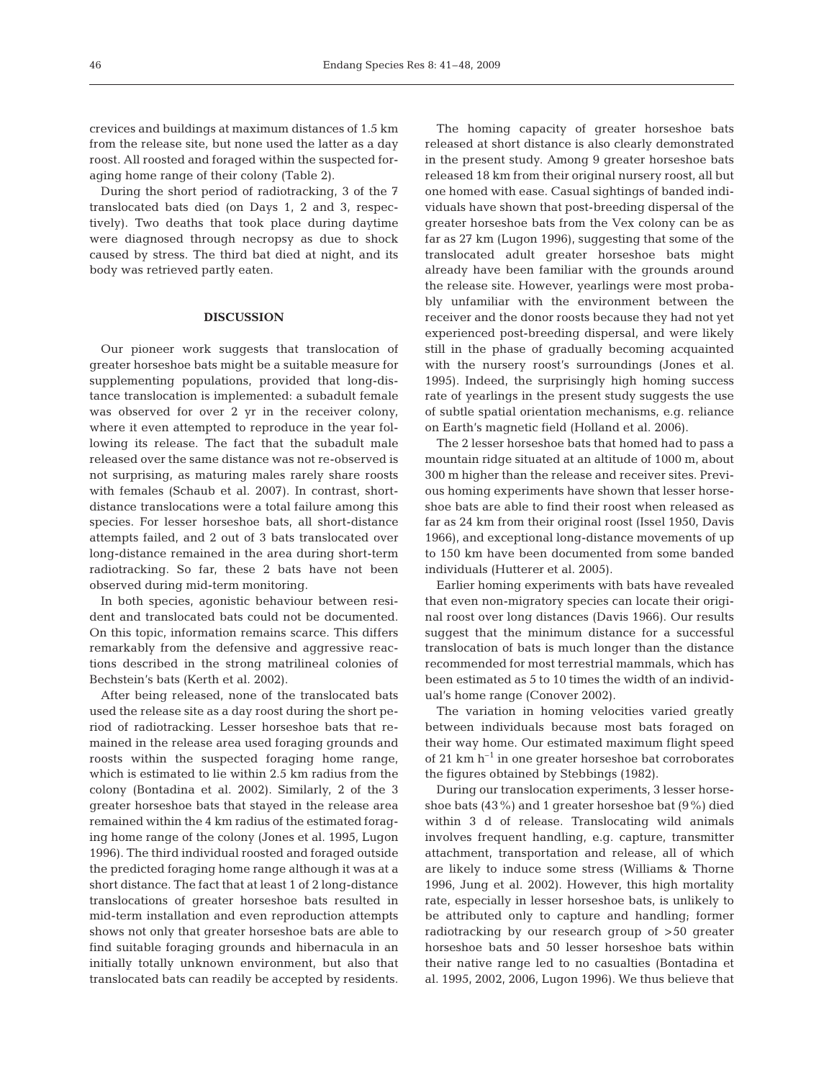crevices and buildings at maximum distances of 1.5 km from the release site, but none used the latter as a day roost. All roosted and foraged within the suspected foraging home range of their colony (Table 2).

During the short period of radiotracking, 3 of the 7 translocated bats died (on Days 1, 2 and 3, respectively). Two deaths that took place during daytime were diagnosed through necropsy as due to shock caused by stress. The third bat died at night, and its body was retrieved partly eaten.

### **DISCUSSION**

Our pioneer work suggests that translocation of greater horseshoe bats might be a suitable measure for supplementing populations, provided that long-distance translocation is implemented: a subadult female was observed for over 2 yr in the receiver colony, where it even attempted to reproduce in the year following its release. The fact that the subadult male released over the same distance was not re-observed is not surprising, as maturing males rarely share roosts with females (Schaub et al. 2007). In contrast, shortdistance translocations were a total failure among this species. For lesser horseshoe bats, all short-distance attempts failed, and 2 out of 3 bats translocated over long-distance remained in the area during short-term radiotracking. So far, these 2 bats have not been observed during mid-term monitoring.

In both species, agonistic behaviour between resident and translocated bats could not be documented. On this topic, information remains scarce. This differs remarkably from the defensive and aggressive reactions described in the strong matrilineal colonies of Bechstein's bats (Kerth et al. 2002).

After being released, none of the translocated bats used the release site as a day roost during the short period of radiotracking. Lesser horseshoe bats that remained in the release area used foraging grounds and roosts within the suspected foraging home range, which is estimated to lie within 2.5 km radius from the colony (Bontadina et al. 2002). Similarly, 2 of the 3 greater horseshoe bats that stayed in the release area remained within the 4 km radius of the estimated foraging home range of the colony (Jones et al. 1995, Lugon 1996). The third individual roosted and foraged outside the predicted foraging home range although it was at a short distance. The fact that at least 1 of 2 long-distance translocations of greater horseshoe bats resulted in mid-term installation and even reproduction attempts shows not only that greater horseshoe bats are able to find suitable foraging grounds and hibernacula in an initially totally unknown environment, but also that translocated bats can readily be accepted by residents.

The homing capacity of greater horseshoe bats released at short distance is also clearly demonstrated in the present study. Among 9 greater horseshoe bats released 18 km from their original nursery roost, all but one homed with ease. Casual sightings of banded individuals have shown that post-breeding dispersal of the greater horseshoe bats from the Vex colony can be as far as 27 km (Lugon 1996), suggesting that some of the translocated adult greater horseshoe bats might already have been familiar with the grounds around the release site. However, yearlings were most probably unfamiliar with the environment between the receiver and the donor roosts because they had not yet experienced post-breeding dispersal, and were likely still in the phase of gradually becoming acquainted with the nursery roost's surroundings (Jones et al. 1995). Indeed, the surprisingly high homing success rate of yearlings in the present study suggests the use of subtle spatial orientation mechanisms, e.g. reliance on Earth's magnetic field (Holland et al. 2006).

The 2 lesser horseshoe bats that homed had to pass a mountain ridge situated at an altitude of 1000 m, about 300 m higher than the release and receiver sites. Previous homing experiments have shown that lesser horseshoe bats are able to find their roost when released as far as 24 km from their original roost (Issel 1950, Davis 1966), and exceptional long-distance movements of up to 150 km have been documented from some banded individuals (Hutterer et al. 2005).

Earlier homing experiments with bats have revealed that even non-migratory species can locate their original roost over long distances (Davis 1966). Our results suggest that the minimum distance for a successful translocation of bats is much longer than the distance recommended for most terrestrial mammals, which has been estimated as 5 to 10 times the width of an individual's home range (Conover 2002).

The variation in homing velocities varied greatly between individuals because most bats foraged on their way home. Our estimated maximum flight speed of 21 km  $h^{-1}$  in one greater horseshoe bat corroborates the figures obtained by Stebbings (1982).

During our translocation experiments, 3 lesser horseshoe bats (43%) and 1 greater horseshoe bat (9%) died within 3 d of release. Translocating wild animals involves frequent handling, e.g. capture, transmitter attachment, transportation and release, all of which are likely to induce some stress (Williams & Thorne 1996, Jung et al. 2002). However, this high mortality rate, especially in lesser horseshoe bats, is unlikely to be attributed only to capture and handling; former radiotracking by our research group of >50 greater horseshoe bats and 50 lesser horseshoe bats within their native range led to no casualties (Bontadina et al. 1995, 2002, 2006, Lugon 1996). We thus believe that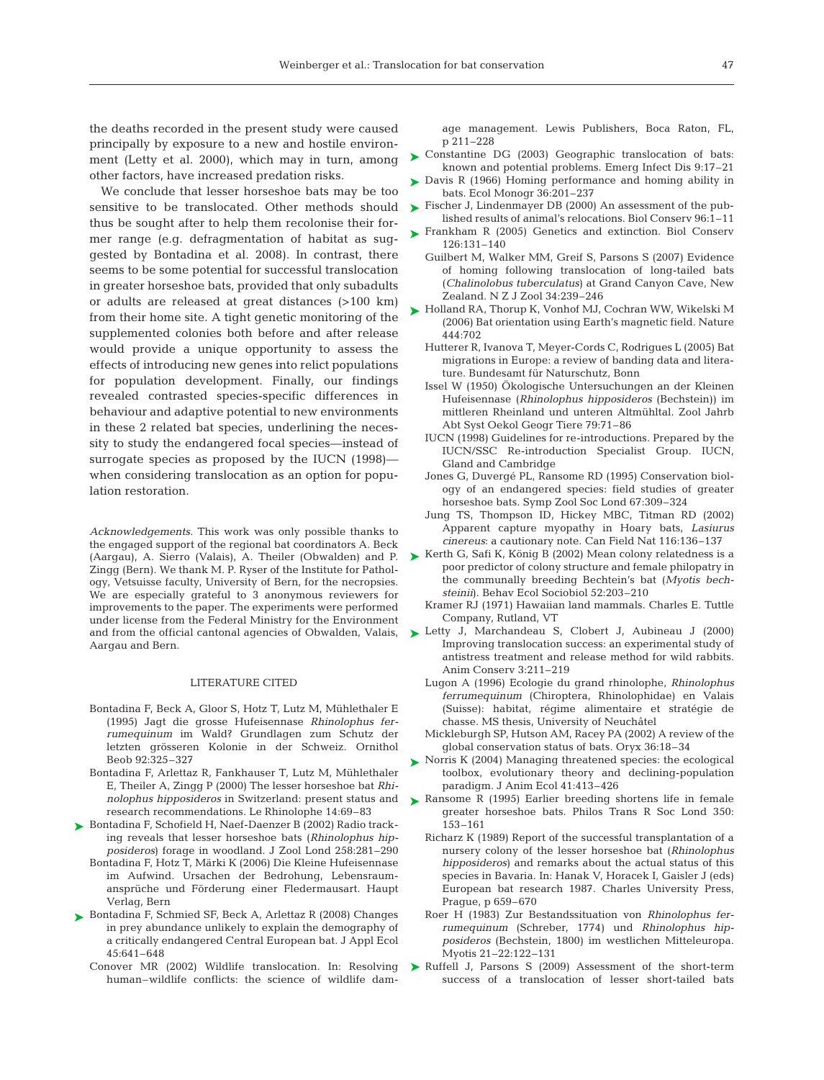the deaths recorded in the present study were caused principally by exposure to a new and hostile environment (Letty et al. 2000), which may in turn, among other factors, have increased predation risks.

We conclude that lesser horseshoe bats may be too sensitive to be translocated. Other methods should thus be sought after to help them recolonise their former range (e.g. defragmentation of habitat as suggested by Bontadina et al. 2008). In contrast, there seems to be some potential for successful translocation in greater horseshoe bats, provided that only subadults or adults are released at great distances (>100 km) from their home site. A tight genetic monitoring of the supplemented colonies both before and after release would provide a unique opportunity to assess the effects of introducing new genes into relict populations for population development. Finally, our findings revealed contrasted species-specific differences in behaviour and adaptive potential to new environments in these 2 related bat species, underlining the necessity to study the endangered focal species—instead of surrogate species as proposed by the IUCN (1998) when considering translocation as an option for population restoration.

*Acknowledgements.* This work was only possible thanks to the engaged support of the regional bat coordinators A. Beck (Aargau), A. Sierro (Valais), A. Theiler (Obwalden) and P. Zingg (Bern). We thank M. P. Ryser of the Institute for Pathology, Vetsuisse faculty, University of Bern, for the necropsies. We are especially grateful to 3 anonymous reviewers for improvements to the paper. The experiments were performed under license from the Federal Ministry for the Environment and from the official cantonal agencies of Obwalden, Valais, Aargau and Bern.

#### LITERATURE CITED

- Bontadina F, Beck A, Gloor S, Hotz T, Lutz M, Mühlethaler E (1995) Jagt die grosse Hufeisennase *Rhinolophus ferrumequinum* im Wald? Grundlagen zum Schutz der letzten grösseren Kolonie in der Schweiz. Ornithol Beob 92:325–327
- Bontadina F, Arlettaz R, Fankhauser T, Lutz M, Mühlethaler E, Theiler A, Zingg P (2000) The lesser horseshoe bat *Rhinolophus hipposideros* in Switzerland: present status and research recommendations. Le Rhinolophe 14:69–83
- ► Bontadina F, Schofield H, Naef-Daenzer B (2002) Radio tracking reveals that lesser horseshoe bats (*Rhinolophus hipposideros*) forage in woodland. J Zool Lond 258:281–290
	- Bontadina F, Hotz T, Märki K (2006) Die Kleine Hufeisennase im Aufwind. Ursachen der Bedrohung, Lebensraumansprüche und Förderung einer Fledermausart. Haupt Verlag, Bern
- ▶ Bontadina F, Schmied SF, Beck A, Arlettaz R (2008) Changes in prey abundance unlikely to explain the demography of a critically endangered Central European bat. J Appl Ecol 45:641–648
	- Conover MR (2002) Wildlife translocation. In: Resolving human–wildlife conflicts: the science of wildlife dam-

age management. Lewis Publishers, Boca Raton, FL, p 211–228

- ► Constantine DG (2003) Geographic translocation of bats: known and potential problems. Emerg Infect Dis 9:17–21
- ► Davis R (1966) Homing performance and homing ability in bats. Ecol Monogr 36:201–237
- ► Fischer J, Lindenmayer DB (2000) An assessment of the published results of animal's relocations. Biol Conserv 96:1–11
- ► Frankham R (2005) Genetics and extinction. Biol Conserv 126:131–140
	- Guilbert M, Walker MM, Greif S, Parsons S (2007) Evidence of homing following translocation of long-tailed bats (*Chalinolobus tuberculatus*) at Grand Canyon Cave, New Zealand. N Z J Zool 34:239–246
- ► Holland RA, Thorup K, Vonhof MJ, Cochran WW, Wikelski M (2006) Bat orientation using Earth's magnetic field. Nature 444:702
	- Hutterer R, Ivanova T, Meyer-Cords C, Rodrigues L (2005) Bat migrations in Europe: a review of banding data and literature. Bundesamt für Naturschutz, Bonn
	- Issel W (1950) Ökologische Untersuchungen an der Kleinen Hufeisennase (*Rhinolophus hipposideros* (Bechstein)) im mittleren Rheinland und unteren Altmühltal. Zool Jahrb Abt Syst Oekol Geogr Tiere 79:71–86
	- IUCN (1998) Guidelines for re-introductions. Prepared by the IUCN/SSC Re-introduction Specialist Group. IUCN, Gland and Cambridge
	- Jones G, Duvergé PL, Ransome RD (1995) Conservation biology of an endangered species: field studies of greater horseshoe bats. Symp Zool Soc Lond 67:309–324
	- Jung TS, Thompson ID, Hickey MBC, Titman RD (2002) Apparent capture myopathy in Hoary bats, *Lasiurus cinereus*: a cautionary note. Can Field Nat 116:136–137
- ► Kerth G, Safi K, König B (2002) Mean colony relatedness is a poor predictor of colony structure and female philopatry in the communally breeding Bechtein's bat (*Myotis bechsteinii*). Behav Ecol Sociobiol 52:203–210
	- Kramer RJ (1971) Hawaiian land mammals. Charles E. Tuttle Company, Rutland, VT
- ▶ Letty J, Marchandeau S, Clobert J, Aubineau J (2000) Improving translocation success: an experimental study of antistress treatment and release method for wild rabbits. Anim Conserv 3:211–219
	- Lugon A (1996) Ecologie du grand rhinolophe, *Rhinolophus ferrumequinum* (Chiroptera, Rhinolophidae) en Valais (Suisse): habitat, régime alimentaire et stratégie de chasse. MS thesis, University of Neuchâtel
	- Mickleburgh SP, Hutson AM, Racey PA (2002) A review of the global conservation status of bats. Oryx 36:18–34
- ▶ Norris K (2004) Managing threatened species: the ecological toolbox, evolutionary theory and declining-population paradigm. J Anim Ecol 41:413–426
- ▶ Ransome R (1995) Earlier breeding shortens life in female greater horseshoe bats. Philos Trans R Soc Lond 350: 153–161
	- Richarz K (1989) Report of the successful transplantation of a nursery colony of the lesser horseshoe bat (*Rhinolophus hipposideros*) and remarks about the actual status of this species in Bavaria. In: Hanak V, Horacek I, Gaisler J (eds) European bat research 1987. Charles University Press, Prague, p 659–670
	- Roer H (1983) Zur Bestandssituation von *Rhinolophus ferrumequinum* (Schreber, 1774) und *Rhinolophus hipposideros* (Bechstein, 1800) im westlichen Mitteleuropa. Myotis 21–22:122–131
- ▶ Ruffell J, Parsons S (2009) Assessment of the short-term success of a translocation of lesser short-tailed bats